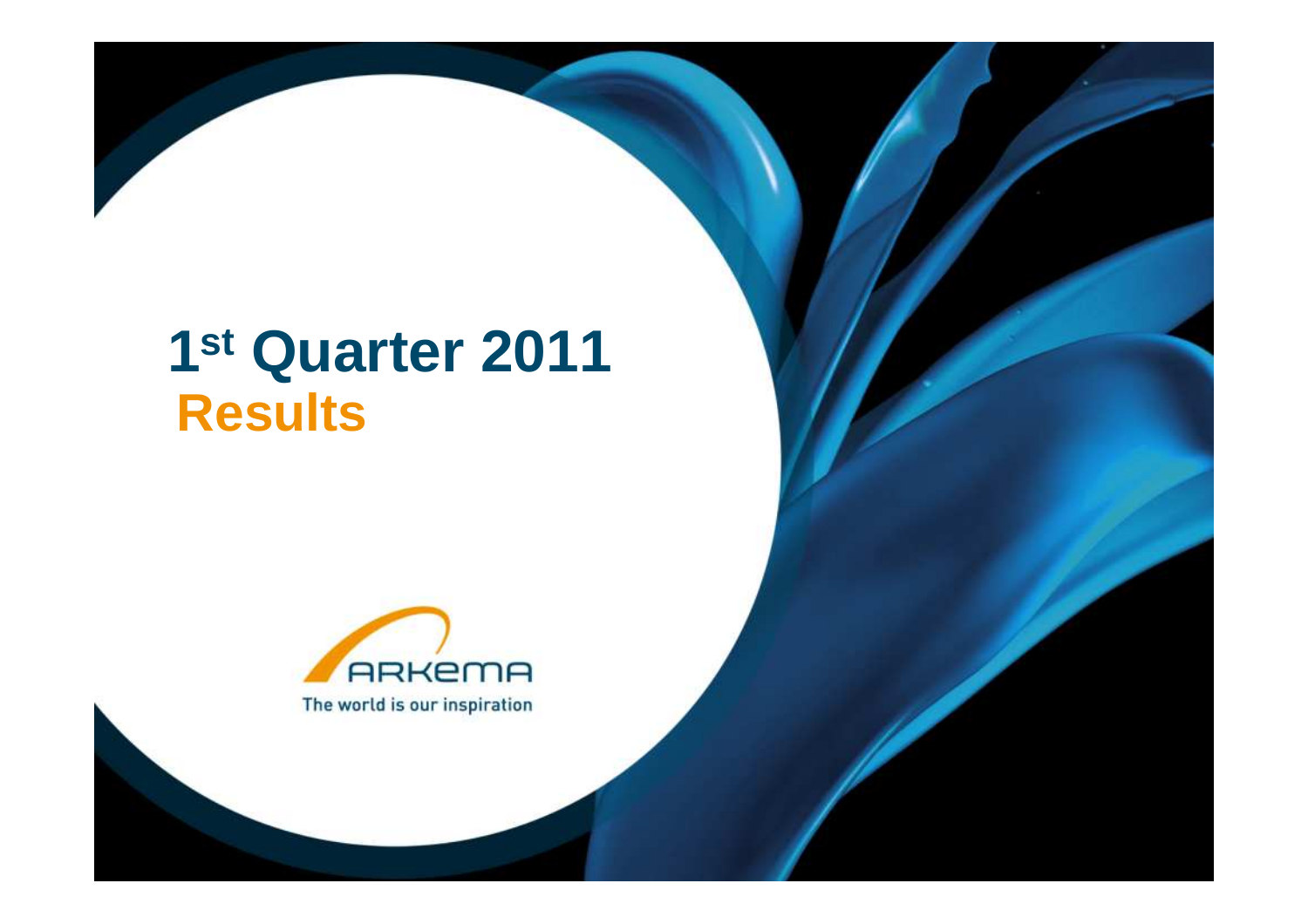# **1st Quarter 2011 Results**

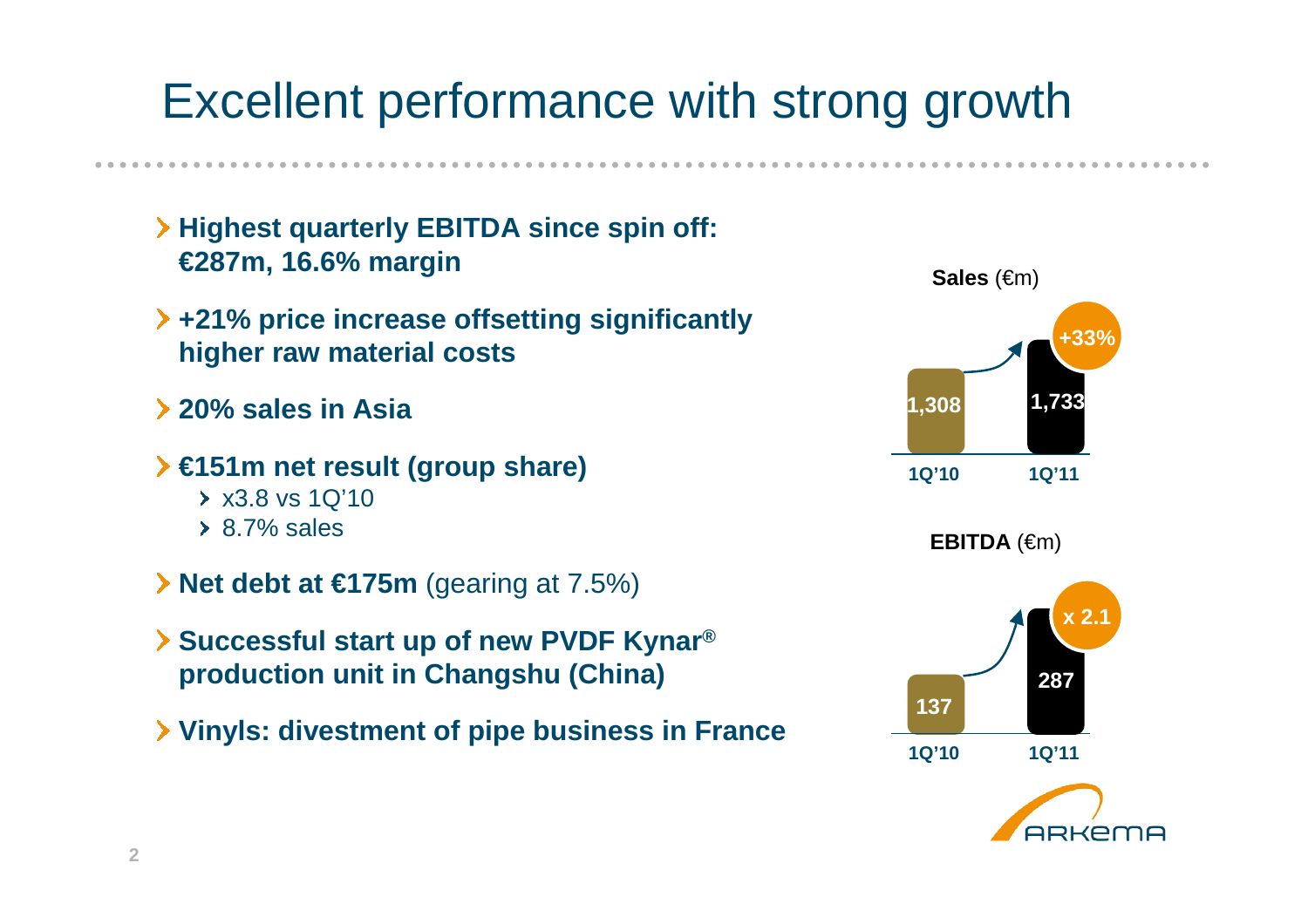# Excellent performance with strong growth

- **Highest quarterly EBITDA since spin off:€287m, 16.6% margin**
- **+21% price increase offsetting significantlyhigher raw material costs**
- **20% sales in Asia**
- **€151m net result (group share)** x3.8 vs 1Q'10 $\geq 8.7\%$  sales
- **Net debt at €175m** (gearing at 7.5%)
- **Successful start up of new PVDF Kynar® production unit in Changshu (China)**
- **Vinyls: divestment of pipe business in France**

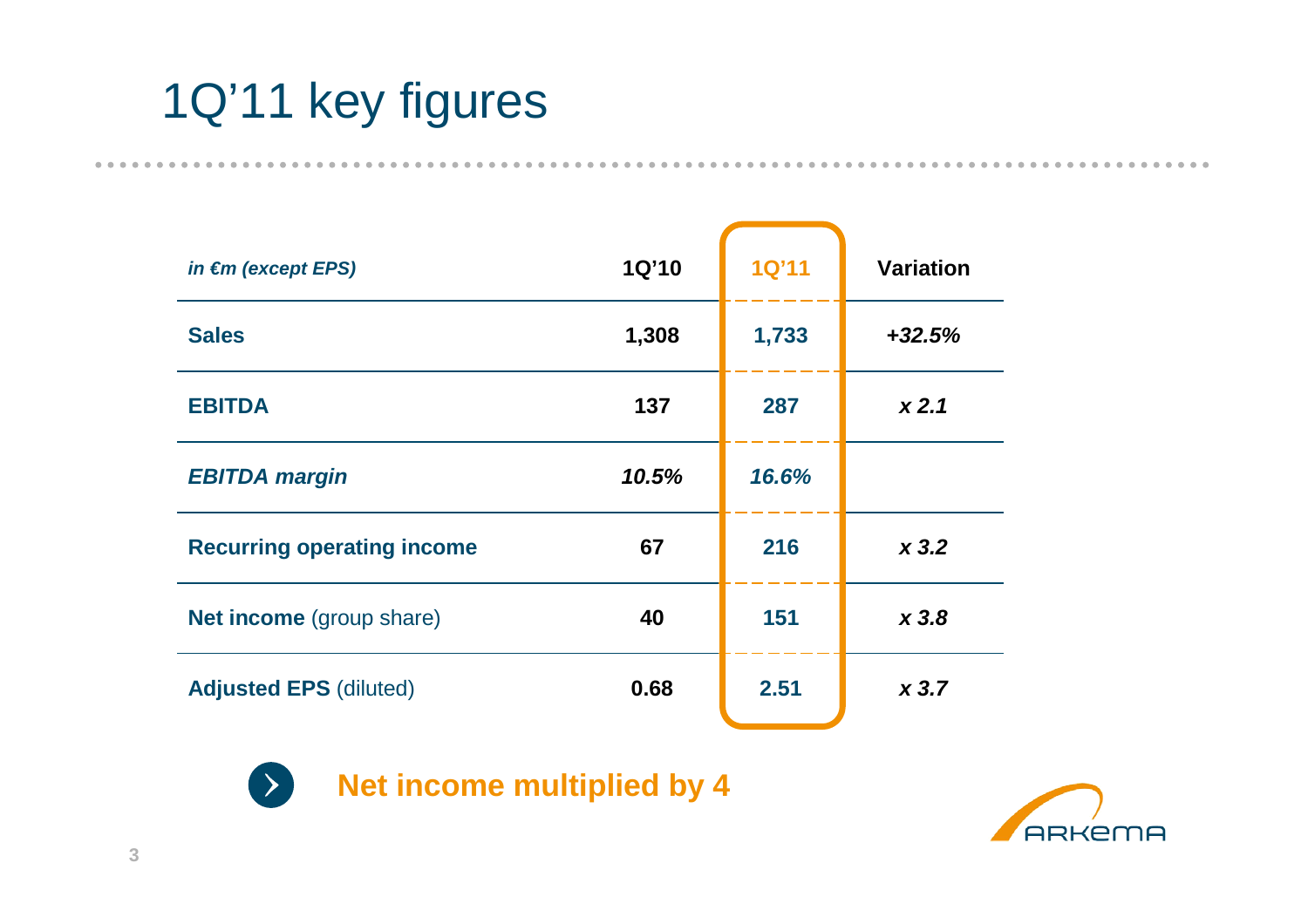# 1Q'11 key figures

....................

| in $\epsilon$ m (except EPS)      | 1Q'10 | <b>1Q'11</b> | <b>Variation</b> |
|-----------------------------------|-------|--------------|------------------|
| <b>Sales</b>                      | 1,308 | 1,733        | $+32.5%$         |
| <b>EBITDA</b>                     | 137   | 287          | x2.1             |
| <b>EBITDA margin</b>              | 10.5% | 16.6%        |                  |
| <b>Recurring operating income</b> | 67    | 216          | x3.2             |
| <b>Net income</b> (group share)   | 40    | 151          | x3.8             |
| <b>Adjusted EPS (diluted)</b>     | 0.68  | 2.51         | x3.7             |



**Net income multiplied by 4** 

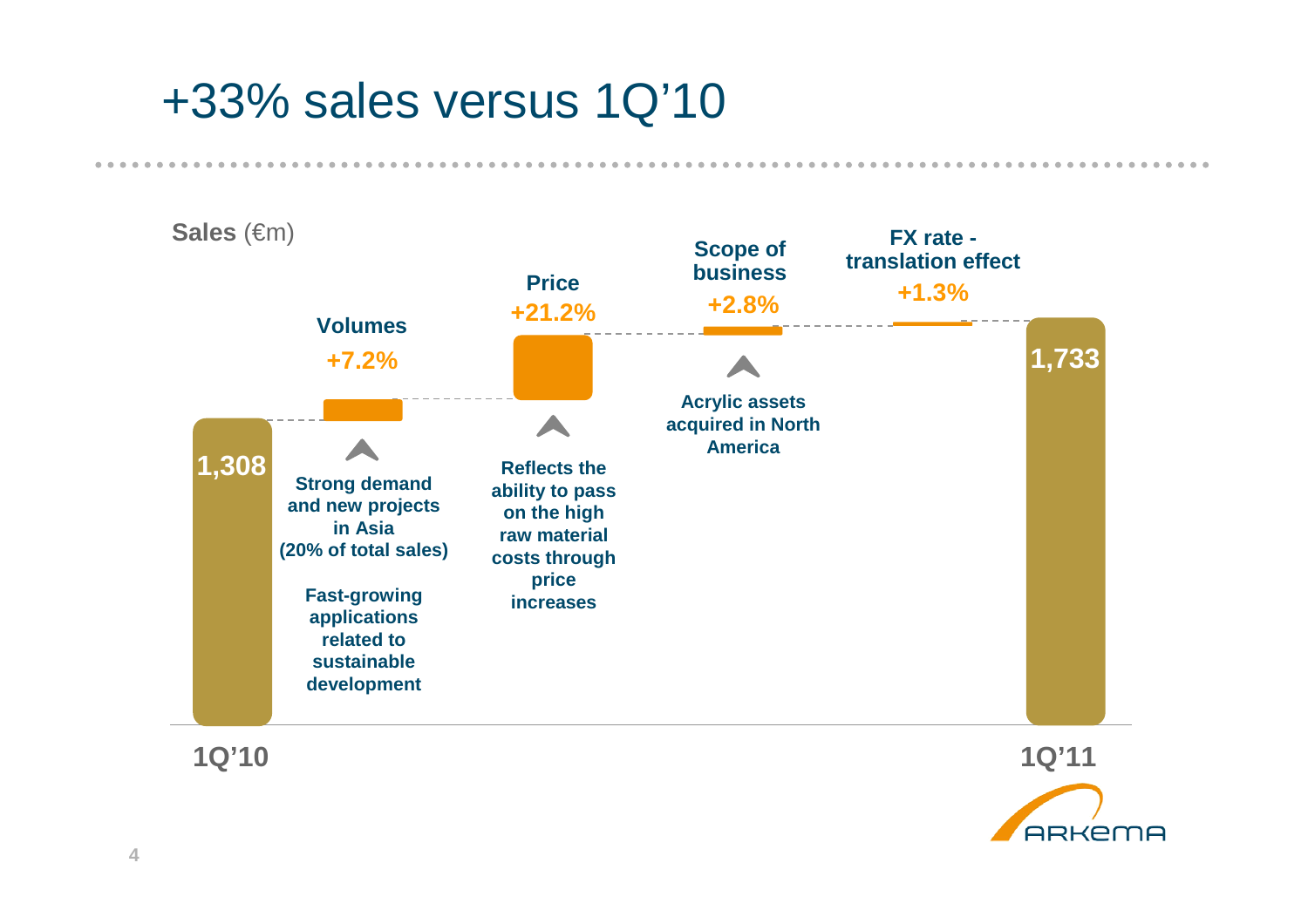## +33% sales versus 1Q'10



**1Q'10**

**1Q'11**

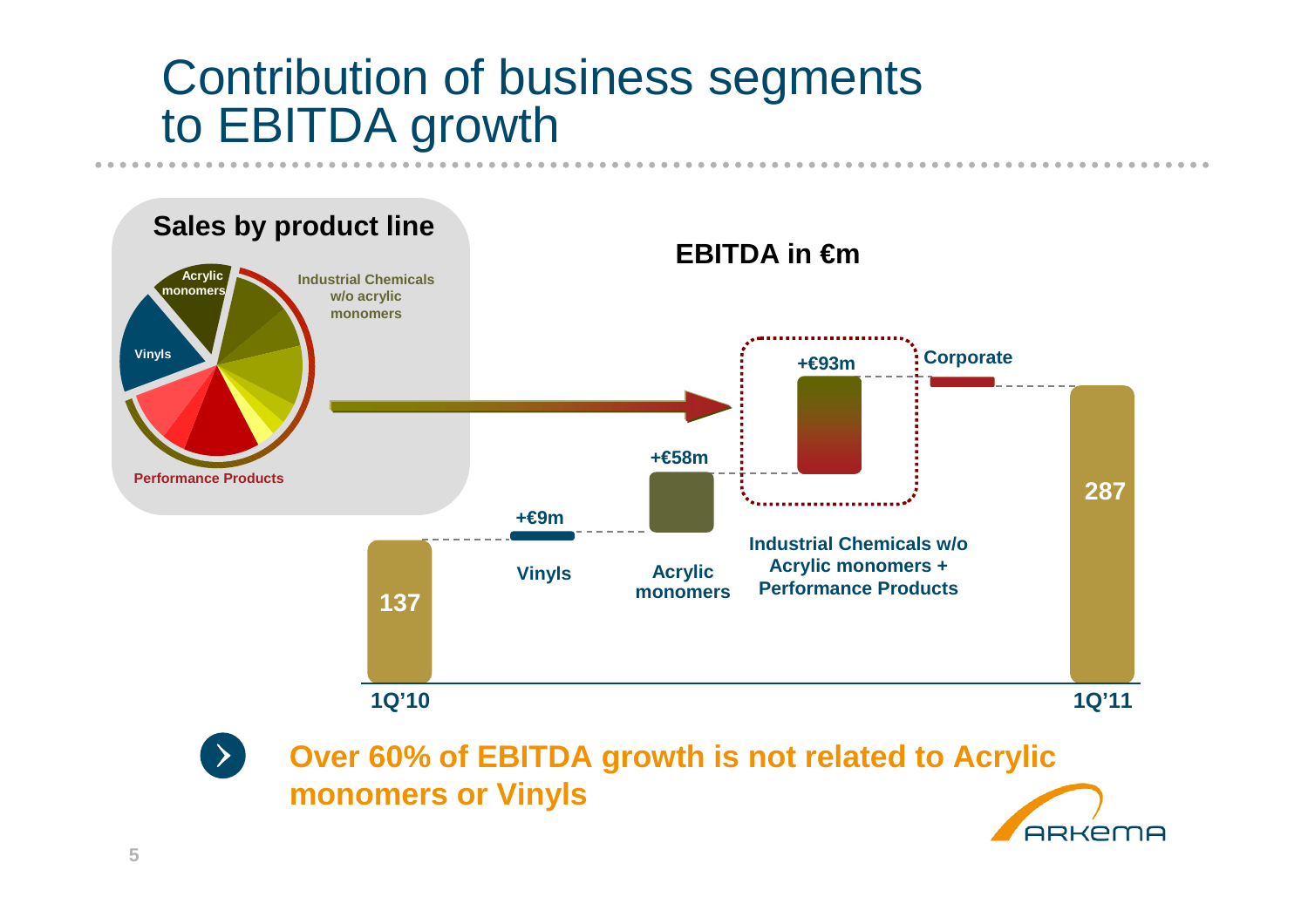## Contribution of business segments to EBITDA growth



**ARKEMA** 

**5**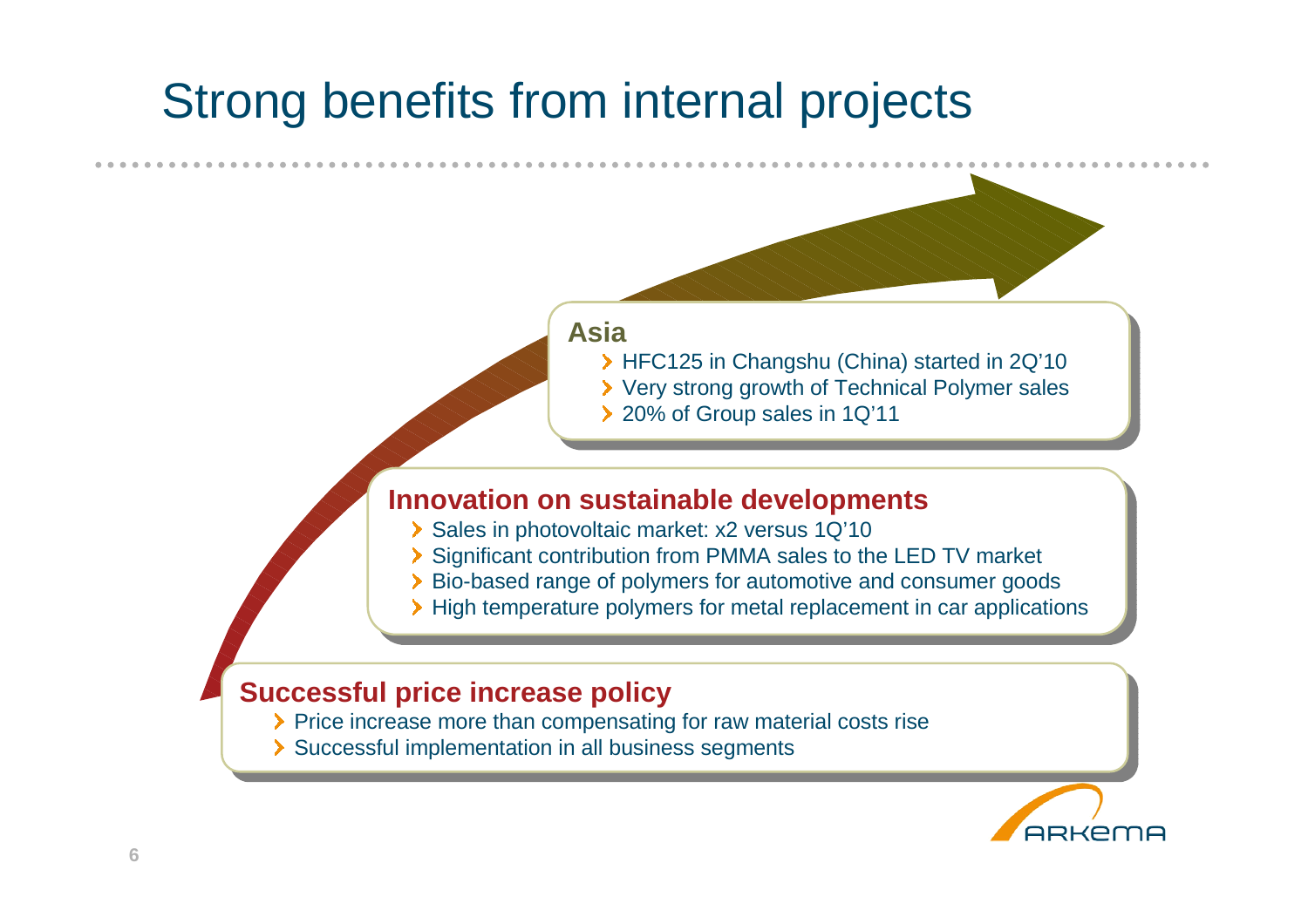# Strong benefits from internal projects

### **AsiaAsia**

 HFC125 in Changshu (China) started in 2Q'10 Very strong growth of Technical Polymer sales▶ 20% of Group sales in 1Q'11

### **Innovation on sustainable developments**

- Sales in photovoltaic market: x2 versus 1Q'10<br>Sales in photovoltaic market: x2 versus 1Q'10
- Significant contribution from PMMA sales to the LED TV market
- Bio-based range of polymers for automotive and consumer goodsBio-based range of polymers for automotive and consumer goods
- High temperature polymers for metal replacement in car applications High temperature polymers for metal replacement in car applications

#### **Successful price increase policy**

- Price increase more than compensating for raw material costs rise<br>Price increase more than compensating for raw material costs rise
- > Successful implementation in all business segments

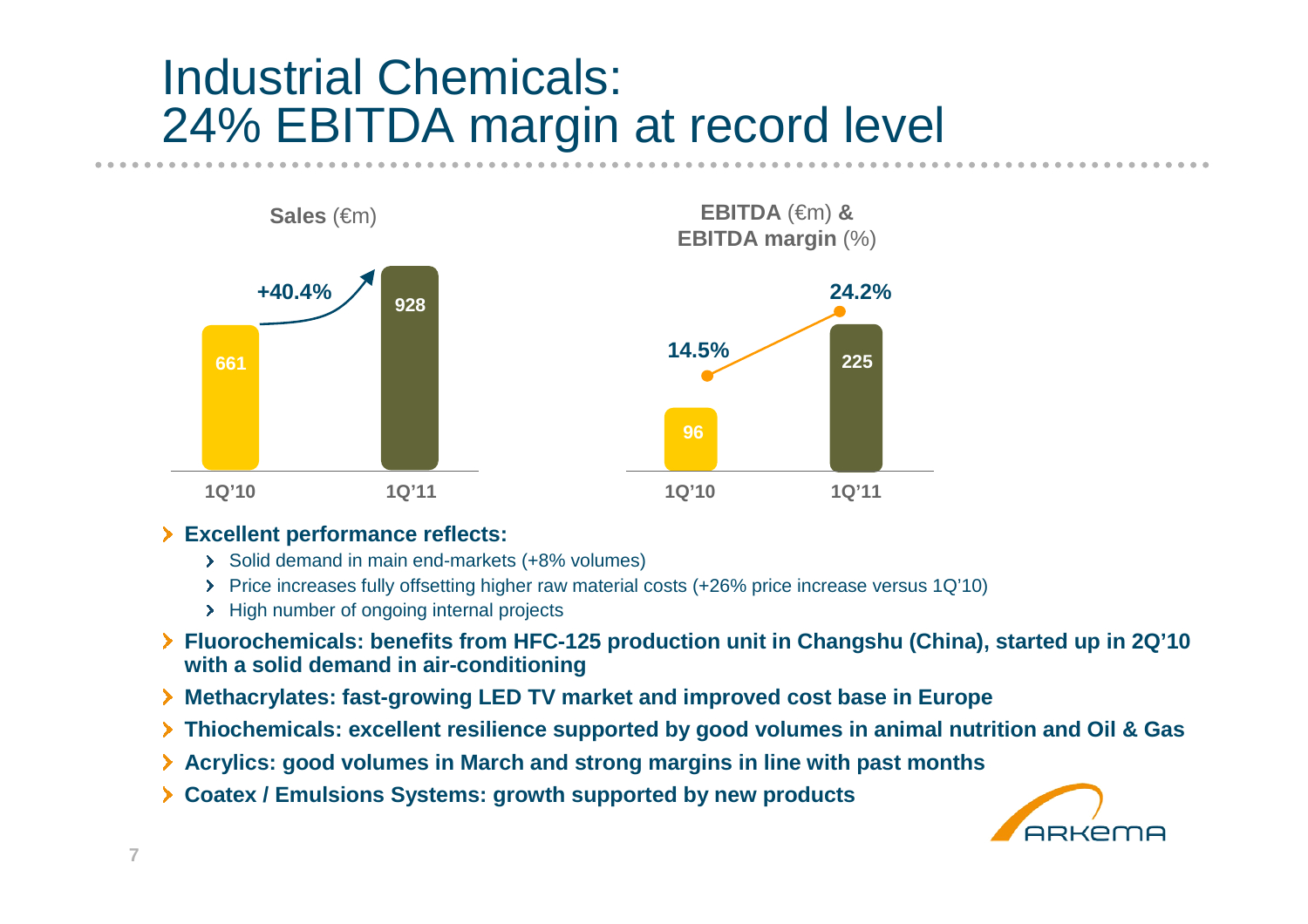## Industrial Chemicals: 24% EBITDA margin at record level



#### **Excellent performance reflects:**

- Solid demand in main end-markets (+8% volumes)
- Price increases fully offsetting higher raw material costs (+26% price increase versus 1Q'10)
- > High number of ongoing internal projects
- **Fluorochemicals: benefits from HFC-125 production unit in Changshu (China), started up in 2Q'10 with a solid demand in air-conditioning**
- **Methacrylates: fast-growing LED TV market and improved cost base in Europe**
- **Thiochemicals: excellent resilience supported by good volumes in animal nutrition and Oil & Gas**
- **Acrylics: good volumes in March and strong margins in line with past months**
- **Coatex / Emulsions Systems: growth supported by new products**

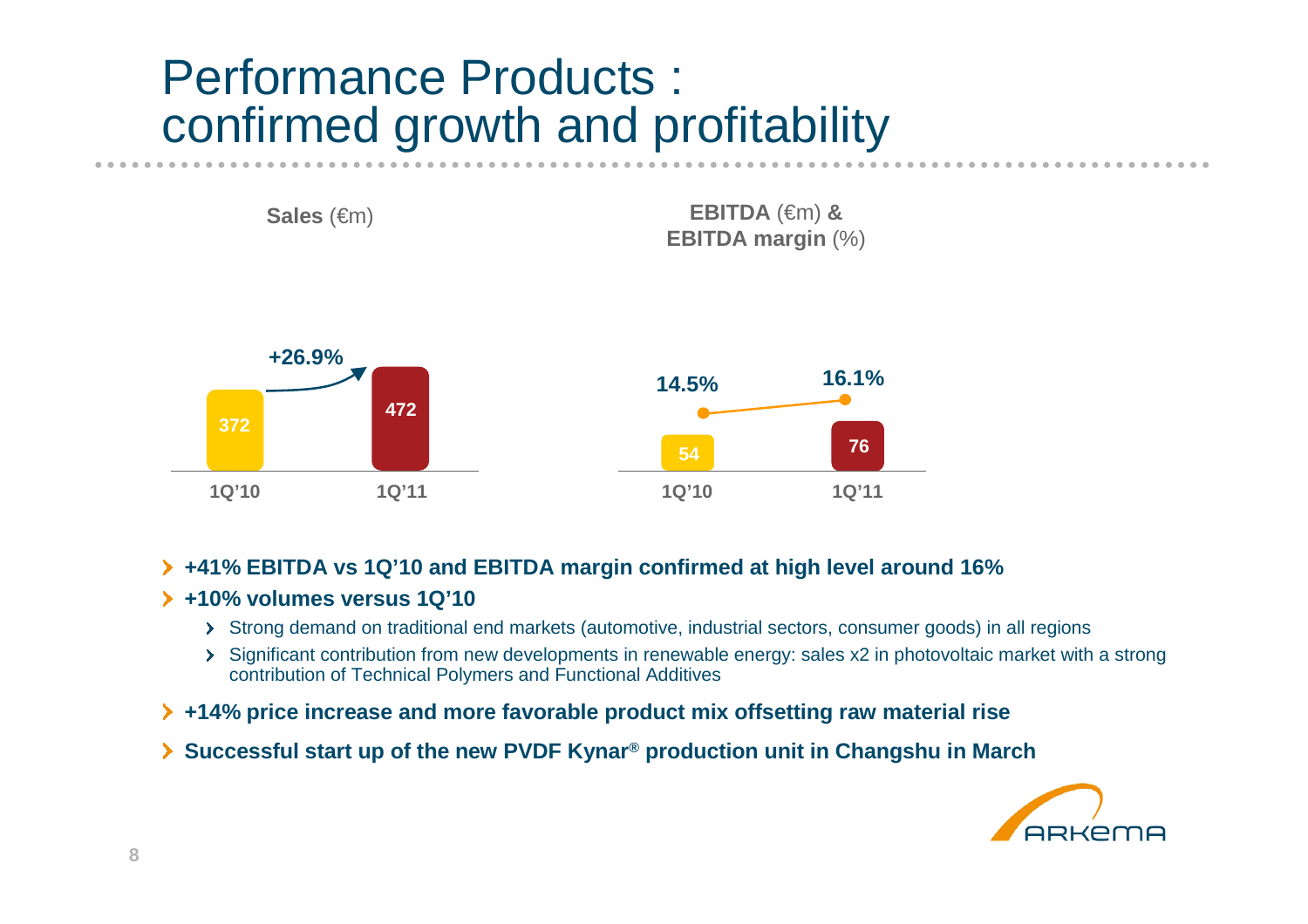## Performance Products : confirmed growth and profitability



#### **+41% EBITDA vs 1Q'10 and EBITDA margin confirmed at high level around 16%**

#### **+10% volumes versus 1Q'10**

- Strong demand on traditional end markets (automotive, industrial sectors, consumer goods) in all regions
- Significant contribution from new developments in renewable energy: sales x2 in photovoltaic market with a strong contribution of Technical Polymers and Functional Additives
- **+14% price increase and more favorable product mix offsetting raw material rise**
- **Successful start up of the new PVDF Kynar® production unit in Changshu in March**

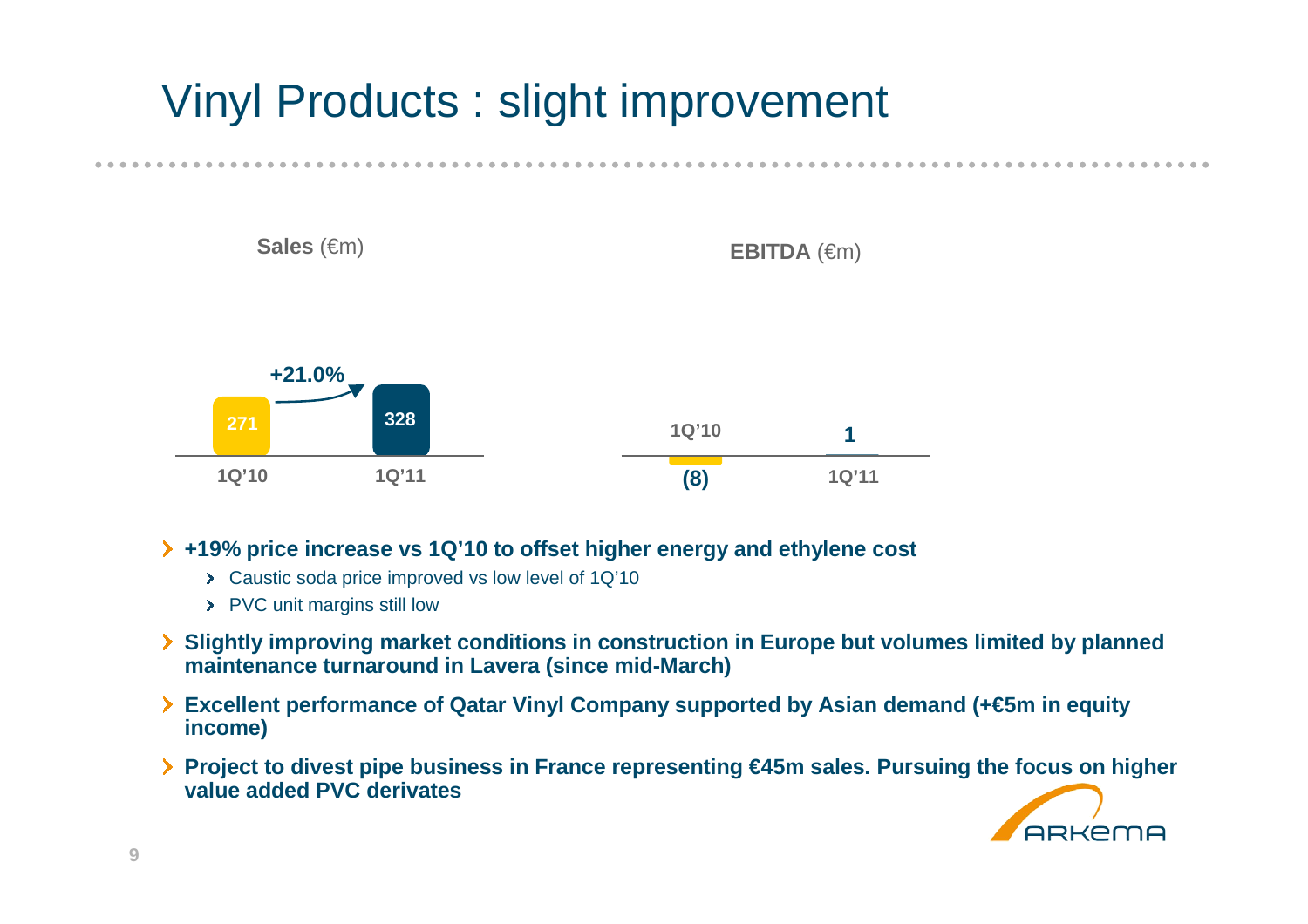# Vinyl Products : slight improvement



#### **+19% price increase vs 1Q'10 to offset higher energy and ethylene cost**

- Caustic soda price improved vs low level of 1Q'10
- > PVC unit margins still low
- **Slightly improving market conditions in construction in Europe but volumes limited by planned maintenance turnaround in Lavera (since mid-March)**
- **Excellent performance of Qatar Vinyl Company supported by Asian demand (+€5m in equity income)**
- **Project to divest pipe business in France representing €45m sales. Pursuing the focus on higher value added PVC derivates**

**ARKEMA** 



**9**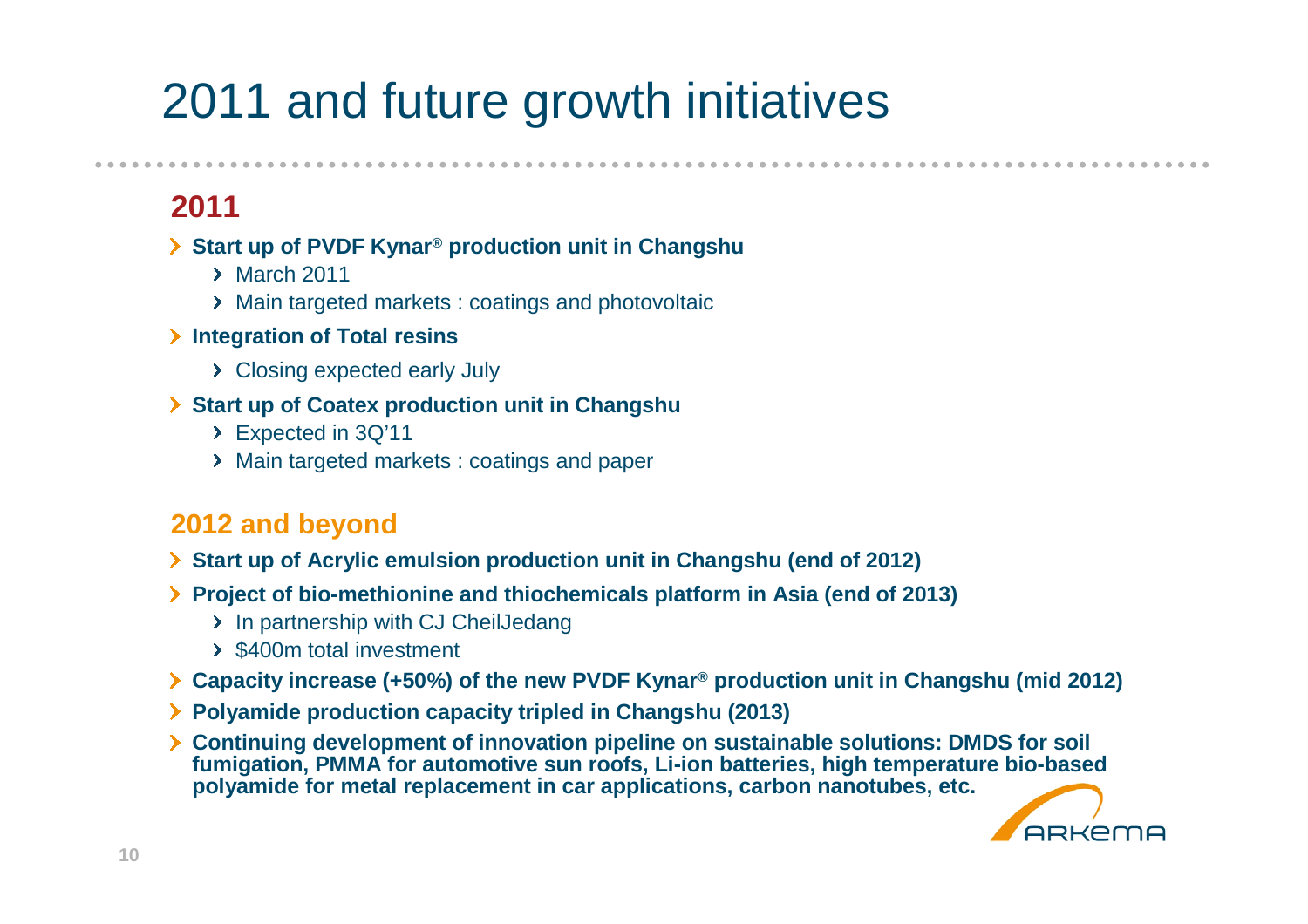# 2011 and future growth initiatives

**2011**

#### **Start up of PVDF Kynar® production unit in Changshu**

- $\rightarrow$  March 2011
- Main targeted markets : coatings and photovoltaic
- **Integration of Total resins**
	- > Closing expected early July
- **Start up of Coatex production unit in Changshu**
	- Expected in 3Q'11
	- Main targeted markets : coatings and paper

### **2012 and beyond**

- **Start up of Acrylic emulsion production unit in Changshu (end of 2012)**
- **Project of bio-methionine and thiochemicals platform in Asia (end of 2013)**
	- > In partnership with CJ CheilJedang
	- $\rightarrow$  \$400m total investment
- **Capacity increase (+50%) of the new PVDF Kynar® production unit in Changshu (mid 2012)**
- **Polyamide production capacity tripled in Changshu (2013)**
- **Continuing development of innovation pipeline on sustainable solutions: DMDS for soil fumigation, PMMA for automotive sun roofs, Li-ion batteries, high temperature bio-based polyamide for metal replacement in car applications, carbon nanotubes, etc.**

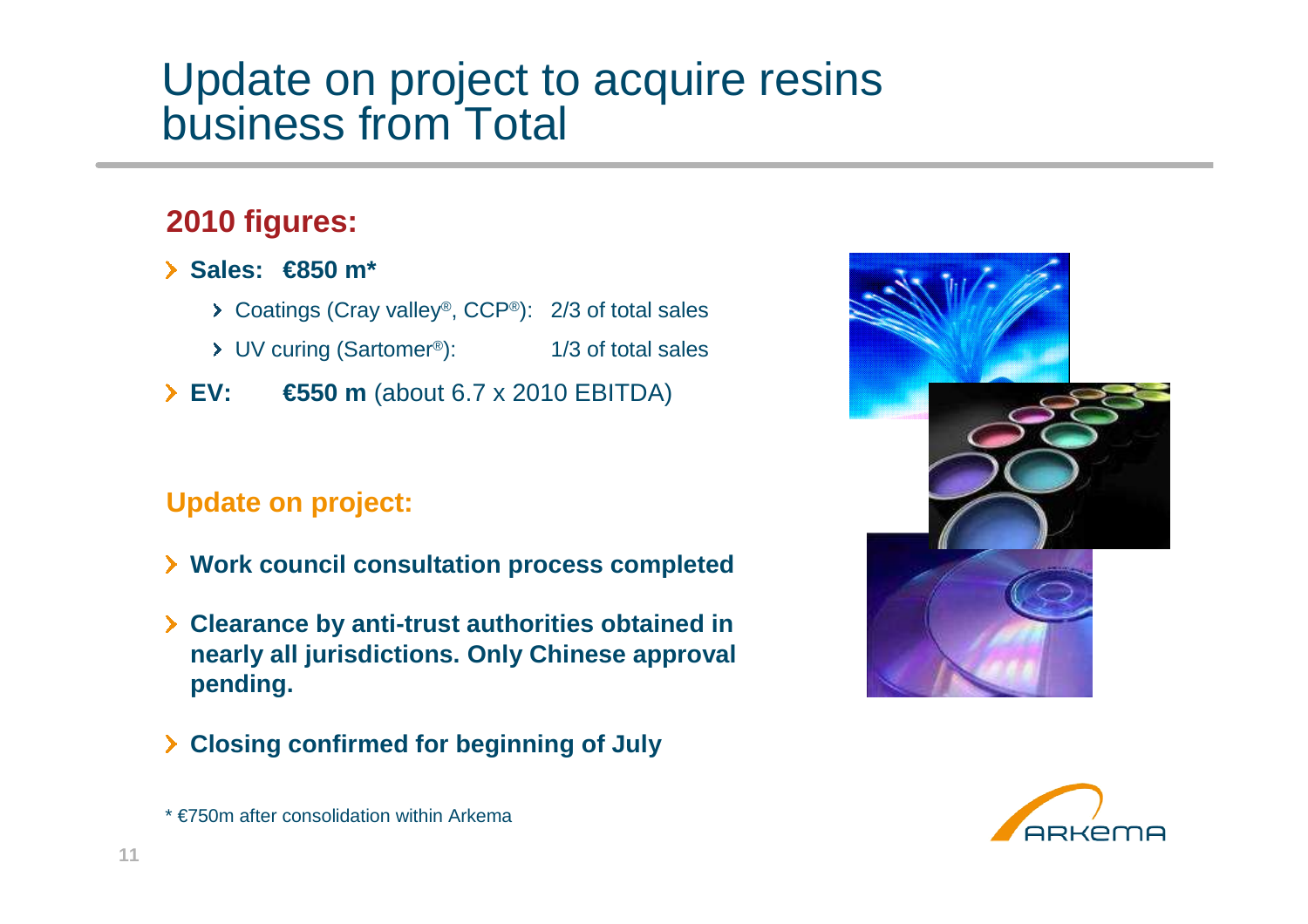### Update on project to acquire resins business from Total

### **2010 figures:**

- **Sales: €850 m\***
	- Coatings (Cray valley®, CCP®): 2/3 of total sales
	- UV curing (Sartomer®): 1/3 of total sales
- **EV: €550 m** (about 6.7 x 2010 EBITDA)

### **Update on project:**

- **Work council consultation process completed**
- **Clearance by anti-trust authorities obtained in nearly all jurisdictions. Only Chinese approval pending.**
- **Closing confirmed for beginning of July**





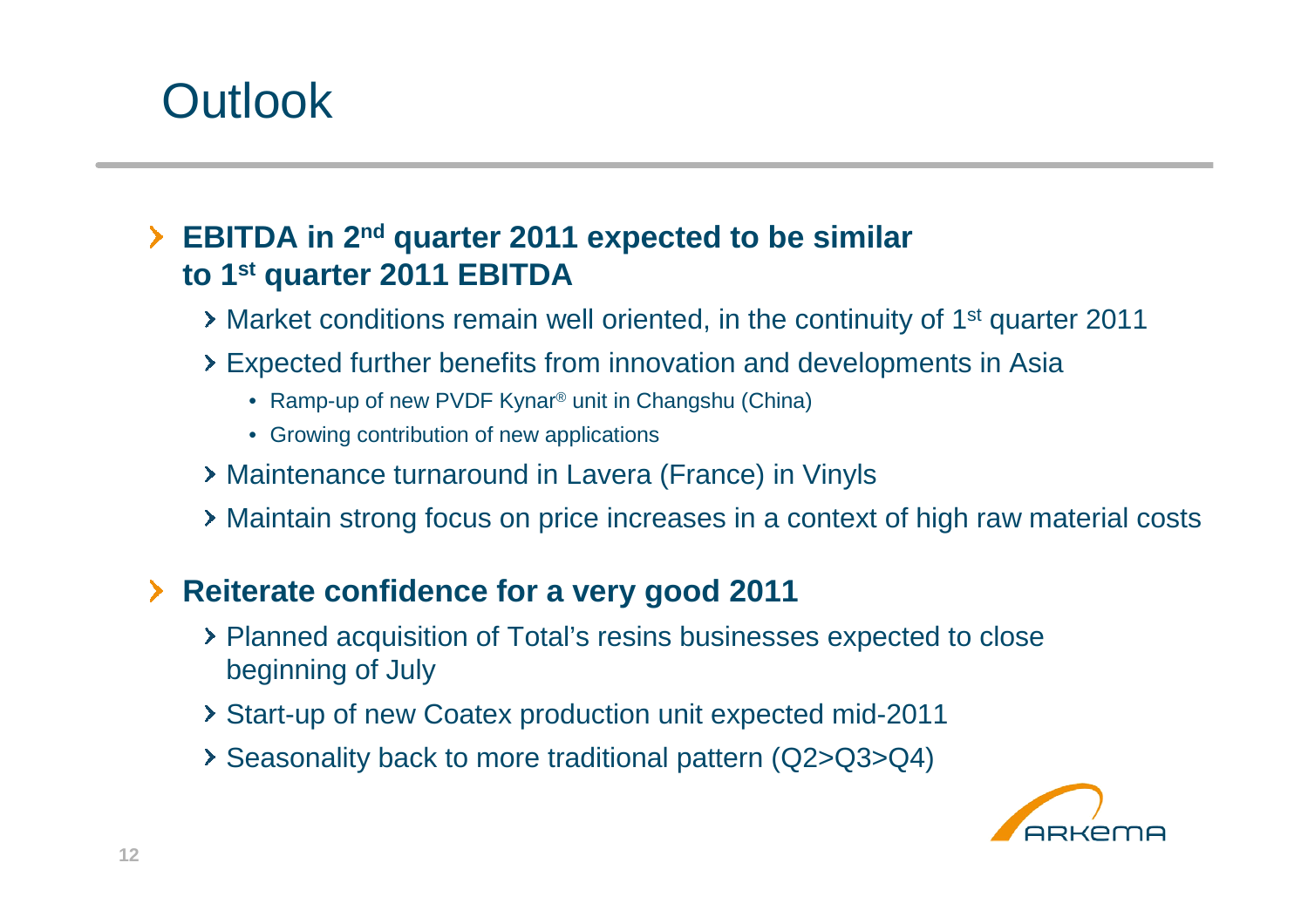# **Outlook**

### **EBITDA in 2nd quarter 2011 expected to be similar to 1st quarter 2011 EBITDA**

- Market conditions remain well oriented, in the continuity of 1<sup>st</sup> quarter 2011
- Expected further benefits from innovation and developments in Asia
	- Ramp-up of new PVDF Kynar® unit in Changshu (China)
	- Growing contribution of new applications
- Maintenance turnaround in Lavera (France) in Vinyls
- Maintain strong focus on price increases in a context of high raw material costs

### **Reiterate confidence for a very good 2011**

- Planned acquisition of Total's resins businesses expected to close beginning of July
- Start-up of new Coatex production unit expected mid-2011
- Seasonality back to more traditional pattern (Q2>Q3>Q4)

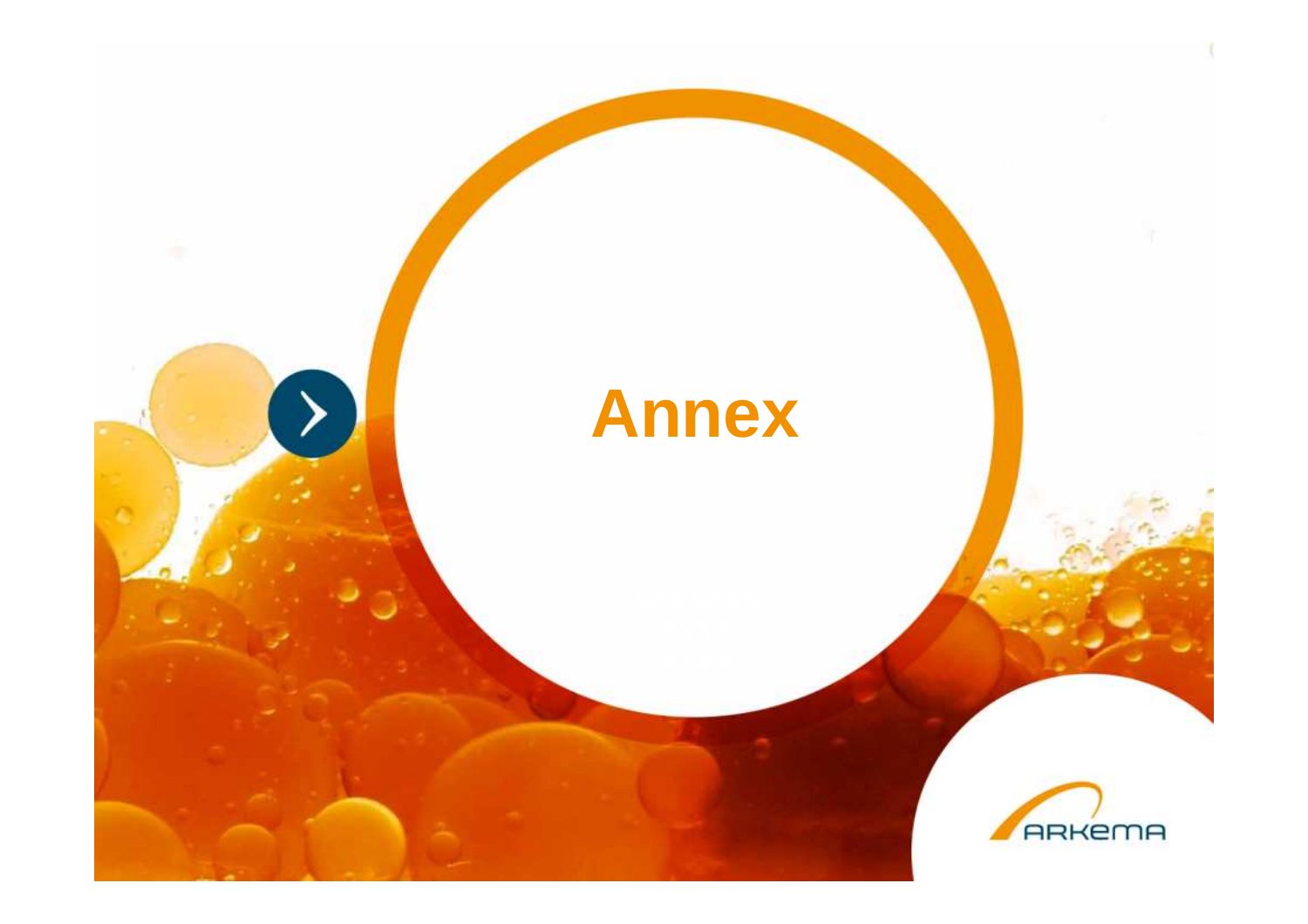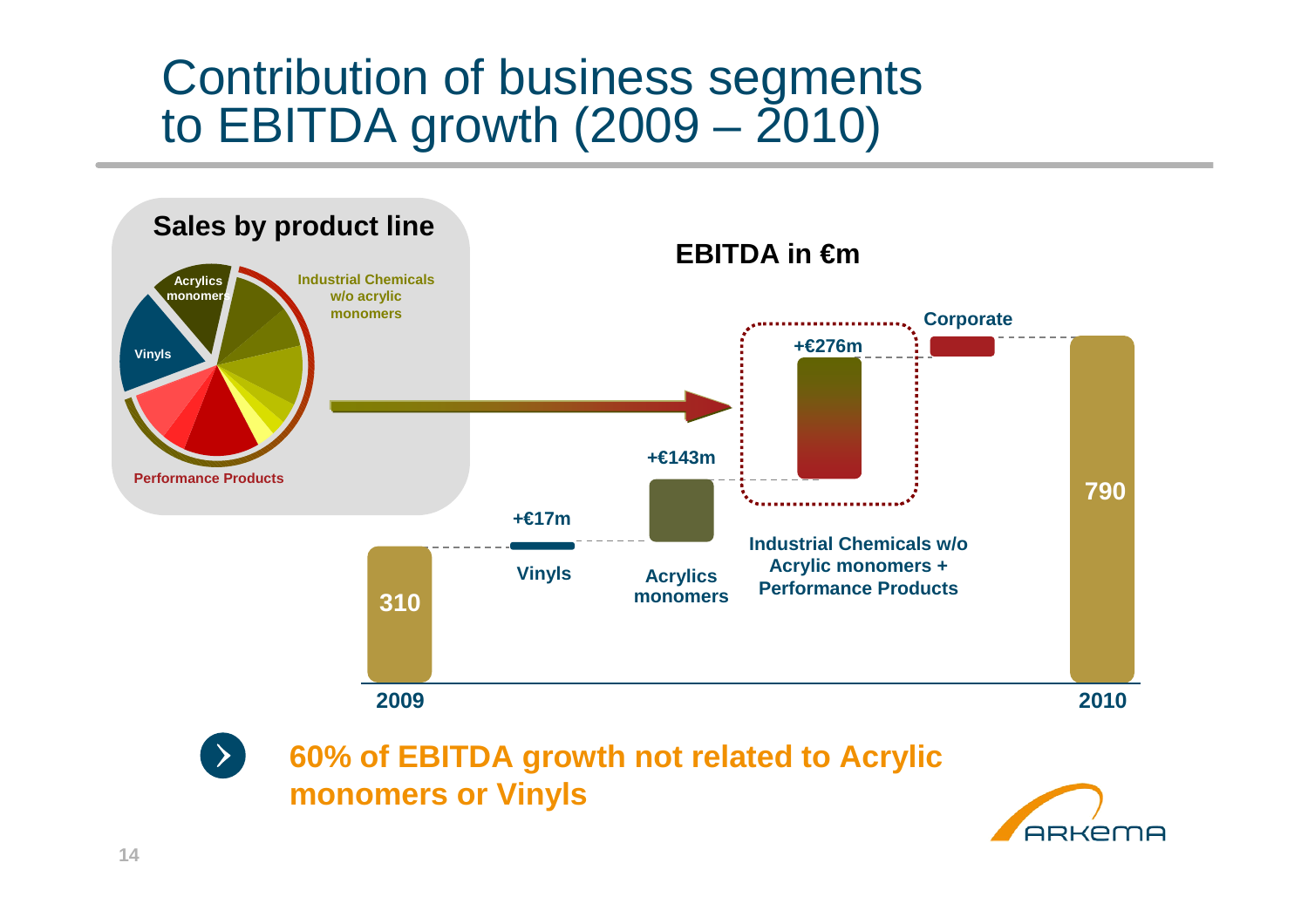## Contribution of business segments to EBITDA growth  $(2009 - 2010)$



**monomers or Vinyls** 

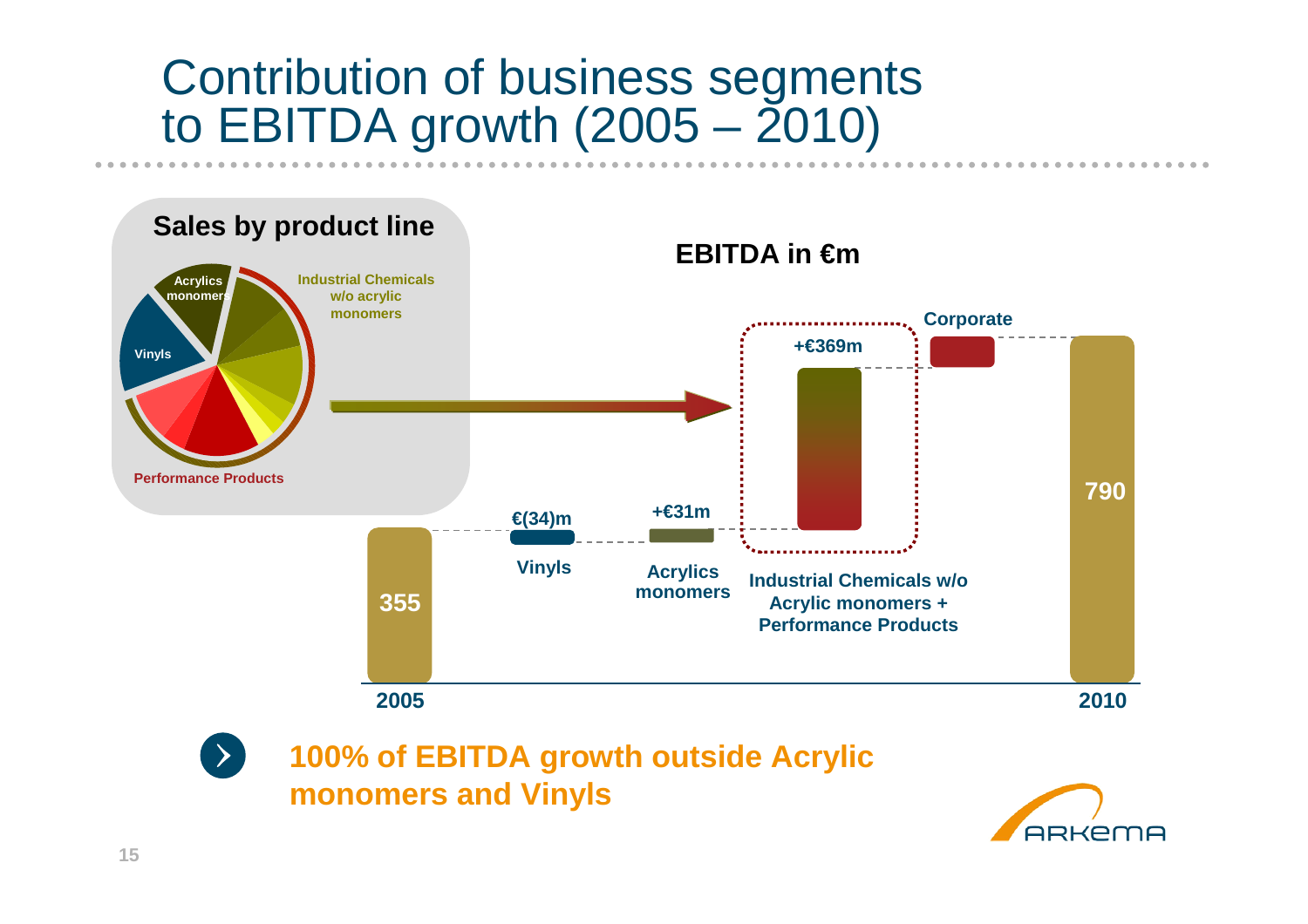## Contribution of business segments to EBITDA growth  $(2005 - 2010)$





**100% of EBITDA growth outside Acrylic monomers and Vinyls**